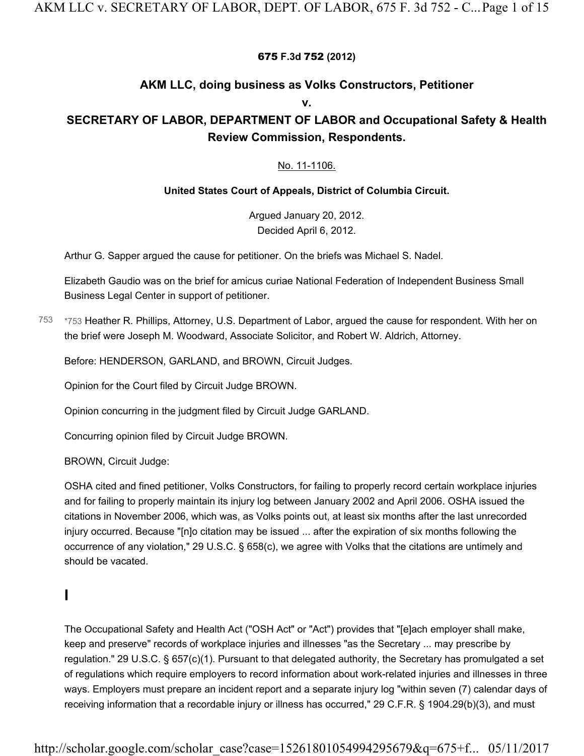### 675 **F.3d** 752 **(2012)**

### **AKM LLC, doing business as Volks Constructors, Petitioner**

**v.**

# **SECRETARY OF LABOR, DEPARTMENT OF LABOR and Occupational Safety & Health Review Commission, Respondents.**

### No. 11-1106.

#### **United States Court of Appeals, District of Columbia Circuit.**

Argued January 20, 2012. Decided April 6, 2012.

Arthur G. Sapper argued the cause for petitioner. On the briefs was Michael S. Nadel.

Elizabeth Gaudio was on the brief for amicus curiae National Federation of Independent Business Small Business Legal Center in support of petitioner.

\*753 Heather R. Phillips, Attorney, U.S. Department of Labor, argued the cause for respondent. With her on the brief were Joseph M. Woodward, Associate Solicitor, and Robert W. Aldrich, Attorney. 753

Before: HENDERSON, GARLAND, and BROWN, Circuit Judges.

Opinion for the Court filed by Circuit Judge BROWN.

Opinion concurring in the judgment filed by Circuit Judge GARLAND.

Concurring opinion filed by Circuit Judge BROWN.

BROWN, Circuit Judge:

OSHA cited and fined petitioner, Volks Constructors, for failing to properly record certain workplace injuries and for failing to properly maintain its injury log between January 2002 and April 2006. OSHA issued the citations in November 2006, which was, as Volks points out, at least six months after the last unrecorded injury occurred. Because "[n]o citation may be issued ... after the expiration of six months following the occurrence of any violation," 29 U.S.C. § 658(c), we agree with Volks that the citations are untimely and should be vacated.

# **I**

The Occupational Safety and Health Act ("OSH Act" or "Act") provides that "[e]ach employer shall make, keep and preserve" records of workplace injuries and illnesses "as the Secretary ... may prescribe by regulation." 29 U.S.C. § 657(c)(1). Pursuant to that delegated authority, the Secretary has promulgated a set of regulations which require employers to record information about work-related injuries and illnesses in three ways. Employers must prepare an incident report and a separate injury log "within seven (7) calendar days of receiving information that a recordable injury or illness has occurred," 29 C.F.R. § 1904.29(b)(3), and must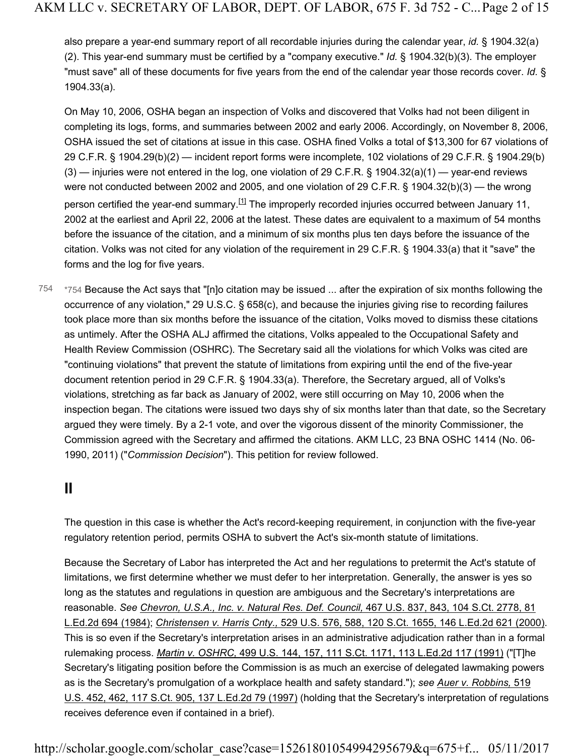also prepare a year-end summary report of all recordable injuries during the calendar year, *id.* § 1904.32(a) (2). This year-end summary must be certified by a "company executive." *Id.* § 1904.32(b)(3). The employer "must save" all of these documents for five years from the end of the calendar year those records cover. *Id.* § 1904.33(a).

On May 10, 2006, OSHA began an inspection of Volks and discovered that Volks had not been diligent in completing its logs, forms, and summaries between 2002 and early 2006. Accordingly, on November 8, 2006, OSHA issued the set of citations at issue in this case. OSHA fined Volks a total of \$13,300 for 67 violations of 29 C.F.R. § 1904.29(b)(2) — incident report forms were incomplete, 102 violations of 29 C.F.R. § 1904.29(b)  $(3)$  — injuries were not entered in the log, one violation of 29 C.F.R. § 1904.32(a)(1) — year-end reviews were not conducted between 2002 and 2005, and one violation of 29 C.F.R. § 1904.32(b)(3) — the wrong person certified the year-end summary.<sup>[1]</sup> The improperly recorded injuries occurred between January 11, 2002 at the earliest and April 22, 2006 at the latest. These dates are equivalent to a maximum of 54 months before the issuance of the citation, and a minimum of six months plus ten days before the issuance of the citation. Volks was not cited for any violation of the requirement in 29 C.F.R. § 1904.33(a) that it "save" the forms and the log for five years.

\*754 Because the Act says that "[n]o citation may be issued ... after the expiration of six months following the occurrence of any violation," 29 U.S.C. § 658(c), and because the injuries giving rise to recording failures took place more than six months before the issuance of the citation, Volks moved to dismiss these citations as untimely. After the OSHA ALJ affirmed the citations, Volks appealed to the Occupational Safety and Health Review Commission (OSHRC). The Secretary said all the violations for which Volks was cited are "continuing violations" that prevent the statute of limitations from expiring until the end of the five-year document retention period in 29 C.F.R. § 1904.33(a). Therefore, the Secretary argued, all of Volks's violations, stretching as far back as January of 2002, were still occurring on May 10, 2006 when the inspection began. The citations were issued two days shy of six months later than that date, so the Secretary argued they were timely. By a 2-1 vote, and over the vigorous dissent of the minority Commissioner, the Commission agreed with the Secretary and affirmed the citations. AKM LLC, 23 BNA OSHC 1414 (No. 06- 1990, 2011) ("*Commission Decision*"). This petition for review followed. 754

# **II**

The question in this case is whether the Act's record-keeping requirement, in conjunction with the five-year regulatory retention period, permits OSHA to subvert the Act's six-month statute of limitations.

Because the Secretary of Labor has interpreted the Act and her regulations to pretermit the Act's statute of limitations, we first determine whether we must defer to her interpretation. Generally, the answer is yes so long as the statutes and regulations in question are ambiguous and the Secretary's interpretations are reasonable. *See Chevron, U.S.A., Inc. v. Natural Res. Def. Council,* 467 U.S. 837, 843, 104 S.Ct. 2778, 81 L.Ed.2d 694 (1984); *Christensen v. Harris Cnty.,* 529 U.S. 576, 588, 120 S.Ct. 1655, 146 L.Ed.2d 621 (2000). This is so even if the Secretary's interpretation arises in an administrative adjudication rather than in a formal rulemaking process. *Martin v. OSHRC,* 499 U.S. 144, 157, 111 S.Ct. 1171, 113 L.Ed.2d 117 (1991) ("[T]he Secretary's litigating position before the Commission is as much an exercise of delegated lawmaking powers as is the Secretary's promulgation of a workplace health and safety standard."); *see Auer v. Robbins,* 519 U.S. 452, 462, 117 S.Ct. 905, 137 L.Ed.2d 79 (1997) (holding that the Secretary's interpretation of regulations receives deference even if contained in a brief).

http://scholar.google.com/scholar\_case?case=15261801054994295679&q=675+f... 05/11/2017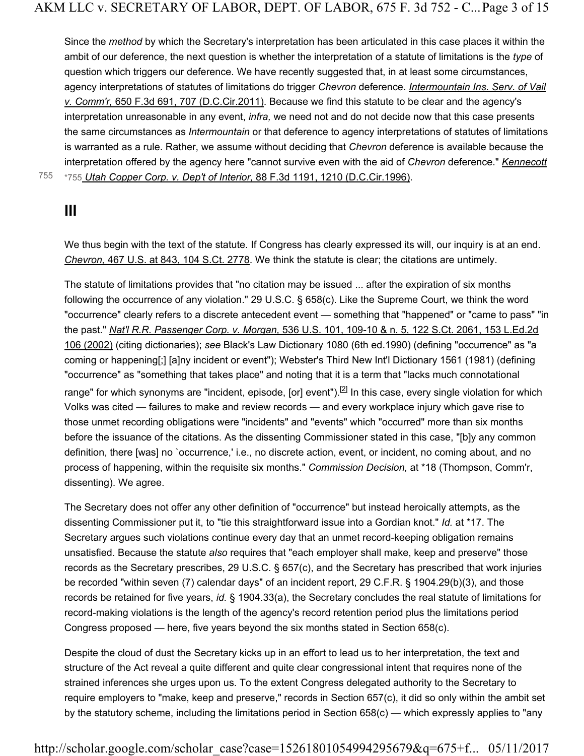Since the *method* by which the Secretary's interpretation has been articulated in this case places it within the ambit of our deference, the next question is whether the interpretation of a statute of limitations is the *type* of question which triggers our deference. We have recently suggested that, in at least some circumstances, agency interpretations of statutes of limitations do trigger *Chevron* deference. *Intermountain Ins. Serv. of Vail v. Comm'r,* 650 F.3d 691, 707 (D.C.Cir.2011). Because we find this statute to be clear and the agency's interpretation unreasonable in any event, *infra,* we need not and do not decide now that this case presents the same circumstances as *Intermountain* or that deference to agency interpretations of statutes of limitations is warranted as a rule. Rather, we assume without deciding that *Chevron* deference is available because the interpretation offered by the agency here "cannot survive even with the aid of *Chevron* deference." *Kennecott*

755 \*755 *Utah Copper Corp. v. Dep't of Interior,* 88 F.3d 1191, 1210 (D.C.Cir.1996).

### **III**

We thus begin with the text of the statute. If Congress has clearly expressed its will, our inquiry is at an end. *Chevron,* 467 U.S. at 843, 104 S.Ct. 2778. We think the statute is clear; the citations are untimely.

The statute of limitations provides that "no citation may be issued ... after the expiration of six months following the occurrence of any violation." 29 U.S.C. § 658(c). Like the Supreme Court, we think the word "occurrence" clearly refers to a discrete antecedent event — something that "happened" or "came to pass" "in the past." *Nat'l R.R. Passenger Corp. v. Morgan,* 536 U.S. 101, 109-10 & n. 5, 122 S.Ct. 2061, 153 L.Ed.2d 106 (2002) (citing dictionaries); *see* Black's Law Dictionary 1080 (6th ed.1990) (defining "occurrence" as "a coming or happening[;] [a]ny incident or event"); Webster's Third New Int'l Dictionary 1561 (1981) (defining "occurrence" as "something that takes place" and noting that it is a term that "lacks much connotational range" for which synonyms are "incident, episode, [or] event").<sup>[2]</sup> In this case, every single violation for which Volks was cited — failures to make and review records — and every workplace injury which gave rise to those unmet recording obligations were "incidents" and "events" which "occurred" more than six months before the issuance of the citations. As the dissenting Commissioner stated in this case, "[b]y any common definition, there [was] no `occurrence,' i.e., no discrete action, event, or incident, no coming about, and no process of happening, within the requisite six months." *Commission Decision,* at \*18 (Thompson, Comm'r, dissenting). We agree.

The Secretary does not offer any other definition of "occurrence" but instead heroically attempts, as the dissenting Commissioner put it, to "tie this straightforward issue into a Gordian knot." *Id.* at \*17. The Secretary argues such violations continue every day that an unmet record-keeping obligation remains unsatisfied. Because the statute *also* requires that "each employer shall make, keep and preserve" those records as the Secretary prescribes, 29 U.S.C. § 657(c), and the Secretary has prescribed that work injuries be recorded "within seven (7) calendar days" of an incident report, 29 C.F.R. § 1904.29(b)(3), and those records be retained for five years, *id.* § 1904.33(a), the Secretary concludes the real statute of limitations for record-making violations is the length of the agency's record retention period plus the limitations period Congress proposed — here, five years beyond the six months stated in Section 658(c).

Despite the cloud of dust the Secretary kicks up in an effort to lead us to her interpretation, the text and structure of the Act reveal a quite different and quite clear congressional intent that requires none of the strained inferences she urges upon us. To the extent Congress delegated authority to the Secretary to require employers to "make, keep and preserve," records in Section 657(c), it did so only within the ambit set by the statutory scheme, including the limitations period in Section 658(c) — which expressly applies to "any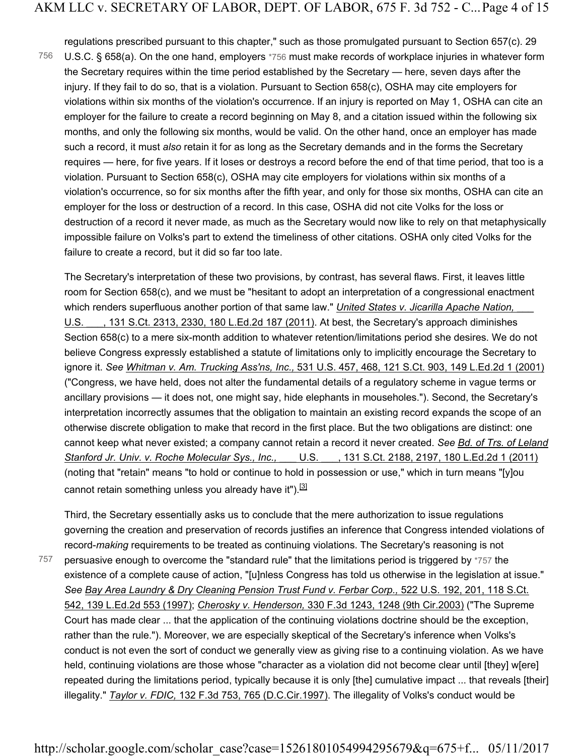regulations prescribed pursuant to this chapter," such as those promulgated pursuant to Section 657(c). 29

U.S.C. § 658(a). On the one hand, employers \*756 must make records of workplace injuries in whatever form the Secretary requires within the time period established by the Secretary — here, seven days after the injury. If they fail to do so, that is a violation. Pursuant to Section 658(c), OSHA may cite employers for violations within six months of the violation's occurrence. If an injury is reported on May 1, OSHA can cite an employer for the failure to create a record beginning on May 8, and a citation issued within the following six months, and only the following six months, would be valid. On the other hand, once an employer has made such a record, it must *also* retain it for as long as the Secretary demands and in the forms the Secretary requires — here, for five years. If it loses or destroys a record before the end of that time period, that too is a violation. Pursuant to Section 658(c), OSHA may cite employers for violations within six months of a violation's occurrence, so for six months after the fifth year, and only for those six months, OSHA can cite an employer for the loss or destruction of a record. In this case, OSHA did not cite Volks for the loss or destruction of a record it never made, as much as the Secretary would now like to rely on that metaphysically impossible failure on Volks's part to extend the timeliness of other citations. OSHA only cited Volks for the failure to create a record, but it did so far too late. 756

The Secretary's interpretation of these two provisions, by contrast, has several flaws. First, it leaves little room for Section 658(c), and we must be "hesitant to adopt an interpretation of a congressional enactment which renders superfluous another portion of that same law." *United States v. Jicarilla Apache Nation*, U.S. \_\_\_, 131 S.Ct. 2313, 2330, 180 L.Ed.2d 187 (2011). At best, the Secretary's approach diminishes Section 658(c) to a mere six-month addition to whatever retention/limitations period she desires. We do not believe Congress expressly established a statute of limitations only to implicitly encourage the Secretary to ignore it. *See Whitman v. Am. Trucking Ass'ns, Inc.,* 531 U.S. 457, 468, 121 S.Ct. 903, 149 L.Ed.2d 1 (2001) ("Congress, we have held, does not alter the fundamental details of a regulatory scheme in vague terms or ancillary provisions — it does not, one might say, hide elephants in mouseholes."). Second, the Secretary's interpretation incorrectly assumes that the obligation to maintain an existing record expands the scope of an otherwise discrete obligation to make that record in the first place. But the two obligations are distinct: one cannot keep what never existed; a company cannot retain a record it never created. *See Bd. of Trs. of Leland Stanford Jr. Univ. v. Roche Molecular Sys., Inc.,* \_\_\_ U.S. \_\_\_, 131 S.Ct. 2188, 2197, 180 L.Ed.2d 1 (2011) (noting that "retain" means "to hold or continue to hold in possession or use," which in turn means "[y]ou cannot retain something unless you already have it").<sup>[3]</sup>

757

governing the creation and preservation of records justifies an inference that Congress intended violations of record-*making* requirements to be treated as continuing violations. The Secretary's reasoning is not persuasive enough to overcome the "standard rule" that the limitations period is triggered by \*757 the existence of a complete cause of action, "[u]nless Congress has told us otherwise in the legislation at issue." *See Bay Area Laundry & Dry Cleaning Pension Trust Fund v. Ferbar Corp.,* 522 U.S. 192, 201, 118 S.Ct. 542, 139 L.Ed.2d 553 (1997); *Cherosky v. Henderson,* 330 F.3d 1243, 1248 (9th Cir.2003) ("The Supreme Court has made clear ... that the application of the continuing violations doctrine should be the exception, rather than the rule."). Moreover, we are especially skeptical of the Secretary's inference when Volks's conduct is not even the sort of conduct we generally view as giving rise to a continuing violation. As we have held, continuing violations are those whose "character as a violation did not become clear until [they] w[ere] repeated during the limitations period, typically because it is only [the] cumulative impact ... that reveals [their] illegality." *Taylor v. FDIC,* 132 F.3d 753, 765 (D.C.Cir.1997). The illegality of Volks's conduct would be

Third, the Secretary essentially asks us to conclude that the mere authorization to issue regulations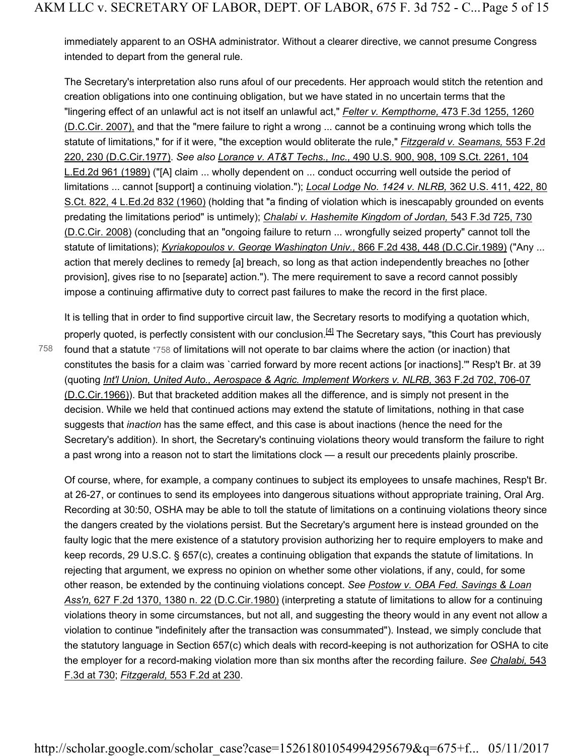immediately apparent to an OSHA administrator. Without a clearer directive, we cannot presume Congress intended to depart from the general rule.

The Secretary's interpretation also runs afoul of our precedents. Her approach would stitch the retention and creation obligations into one continuing obligation, but we have stated in no uncertain terms that the "lingering effect of an unlawful act is not itself an unlawful act," *Felter v. Kempthorne,* 473 F.3d 1255, 1260 (D.C.Cir. 2007), and that the "mere failure to right a wrong ... cannot be a continuing wrong which tolls the statute of limitations," for if it were, "the exception would obliterate the rule," *Fitzgerald v. Seamans,* 553 F.2d 220, 230 (D.C.Cir.1977). *See also Lorance v. AT&T Techs., Inc.,* 490 U.S. 900, 908, 109 S.Ct. 2261, 104 L.Ed.2d 961 (1989) ("[A] claim ... wholly dependent on ... conduct occurring well outside the period of limitations ... cannot [support] a continuing violation."); *Local Lodge No. 1424 v. NLRB,* 362 U.S. 411, 422, 80 S.Ct. 822, 4 L.Ed.2d 832 (1960) (holding that "a finding of violation which is inescapably grounded on events predating the limitations period" is untimely); *Chalabi v. Hashemite Kingdom of Jordan,* 543 F.3d 725, 730 (D.C.Cir. 2008) (concluding that an "ongoing failure to return ... wrongfully seized property" cannot toll the statute of limitations); *Kyriakopoulos v. George Washington Univ.*, 866 F.2d 438, 448 (D.C.Cir.1989) ("Any ... action that merely declines to remedy [a] breach, so long as that action independently breaches no [other provision], gives rise to no [separate] action."). The mere requirement to save a record cannot possibly impose a continuing affirmative duty to correct past failures to make the record in the first place.

758

It is telling that in order to find supportive circuit law, the Secretary resorts to modifying a quotation which, properly quoted, is perfectly consistent with our conclusion.<sup>[4]</sup> The Secretary says, "this Court has previously found that a statute \*758 of limitations will not operate to bar claims where the action (or inaction) that constitutes the basis for a claim was `carried forward by more recent actions [or inactions].'" Resp't Br. at 39 (quoting *Int'l Union, United Auto., Aerospace & Agric. Implement Workers v. NLRB,* 363 F.2d 702, 706-07 (D.C.Cir.1966)). But that bracketed addition makes all the difference, and is simply not present in the decision. While we held that continued actions may extend the statute of limitations, nothing in that case suggests that *inaction* has the same effect, and this case is about inactions (hence the need for the Secretary's addition). In short, the Secretary's continuing violations theory would transform the failure to right a past wrong into a reason not to start the limitations clock — a result our precedents plainly proscribe.

Of course, where, for example, a company continues to subject its employees to unsafe machines, Resp't Br. at 26-27, or continues to send its employees into dangerous situations without appropriate training, Oral Arg. Recording at 30:50, OSHA may be able to toll the statute of limitations on a continuing violations theory since the dangers created by the violations persist. But the Secretary's argument here is instead grounded on the faulty logic that the mere existence of a statutory provision authorizing her to require employers to make and keep records, 29 U.S.C. § 657(c), creates a continuing obligation that expands the statute of limitations. In rejecting that argument, we express no opinion on whether some other violations, if any, could, for some other reason, be extended by the continuing violations concept. *See Postow v. OBA Fed. Savings & Loan Ass'n,* 627 F.2d 1370, 1380 n. 22 (D.C.Cir.1980) (interpreting a statute of limitations to allow for a continuing violations theory in some circumstances, but not all, and suggesting the theory would in any event not allow a violation to continue "indefinitely after the transaction was consummated"). Instead, we simply conclude that the statutory language in Section 657(c) which deals with record-keeping is not authorization for OSHA to cite the employer for a record-making violation more than six months after the recording failure. *See Chalabi,* 543 F.3d at 730; *Fitzgerald,* 553 F.2d at 230.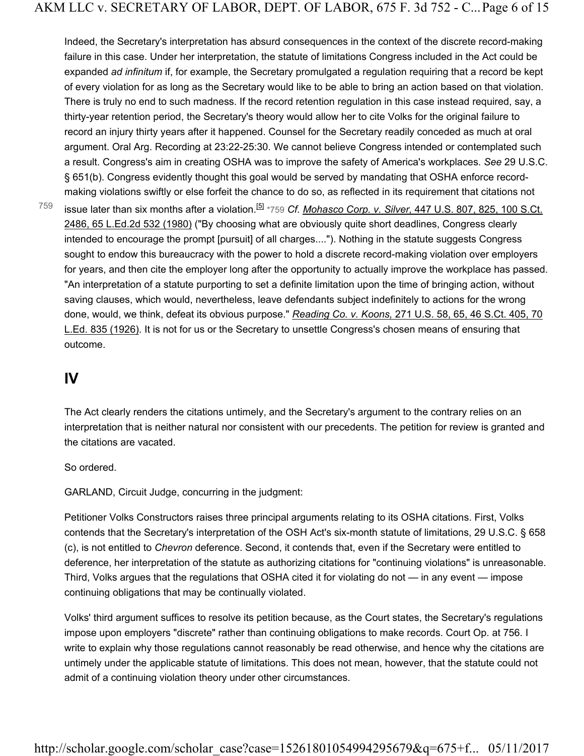Indeed, the Secretary's interpretation has absurd consequences in the context of the discrete record-making failure in this case. Under her interpretation, the statute of limitations Congress included in the Act could be expanded *ad infinitum* if, for example, the Secretary promulgated a regulation requiring that a record be kept of every violation for as long as the Secretary would like to be able to bring an action based on that violation. There is truly no end to such madness. If the record retention regulation in this case instead required, say, a thirty-year retention period, the Secretary's theory would allow her to cite Volks for the original failure to record an injury thirty years after it happened. Counsel for the Secretary readily conceded as much at oral argument. Oral Arg. Recording at 23:22-25:30. We cannot believe Congress intended or contemplated such a result. Congress's aim in creating OSHA was to improve the safety of America's workplaces. *See* 29 U.S.C. § 651(b). Congress evidently thought this goal would be served by mandating that OSHA enforce recordmaking violations swiftly or else forfeit the chance to do so, as reflected in its requirement that citations not

759

issue later than six months after a violation.<sup>[5]</sup> \*759 *Cf. Mohasco Corp. v. Silver*, 447 U.S. 807, 825, 100 S.Ct. 2486, 65 L.Ed.2d 532 (1980) ("By choosing what are obviously quite short deadlines, Congress clearly intended to encourage the prompt [pursuit] of all charges...."). Nothing in the statute suggests Congress sought to endow this bureaucracy with the power to hold a discrete record-making violation over employers for years, and then cite the employer long after the opportunity to actually improve the workplace has passed. "An interpretation of a statute purporting to set a definite limitation upon the time of bringing action, without saving clauses, which would, nevertheless, leave defendants subject indefinitely to actions for the wrong done, would, we think, defeat its obvious purpose." *Reading Co. v. Koons,* 271 U.S. 58, 65, 46 S.Ct. 405, 70 L.Ed. 835 (1926). It is not for us or the Secretary to unsettle Congress's chosen means of ensuring that outcome.

## **IV**

The Act clearly renders the citations untimely, and the Secretary's argument to the contrary relies on an interpretation that is neither natural nor consistent with our precedents. The petition for review is granted and the citations are vacated.

So ordered.

GARLAND, Circuit Judge, concurring in the judgment:

Petitioner Volks Constructors raises three principal arguments relating to its OSHA citations. First, Volks contends that the Secretary's interpretation of the OSH Act's six-month statute of limitations, 29 U.S.C. § 658 (c), is not entitled to *Chevron* deference. Second, it contends that, even if the Secretary were entitled to deference, her interpretation of the statute as authorizing citations for "continuing violations" is unreasonable. Third, Volks argues that the regulations that OSHA cited it for violating do not — in any event — impose continuing obligations that may be continually violated.

Volks' third argument suffices to resolve its petition because, as the Court states, the Secretary's regulations impose upon employers "discrete" rather than continuing obligations to make records. Court Op. at 756. I write to explain why those regulations cannot reasonably be read otherwise, and hence why the citations are untimely under the applicable statute of limitations. This does not mean, however, that the statute could not admit of a continuing violation theory under other circumstances.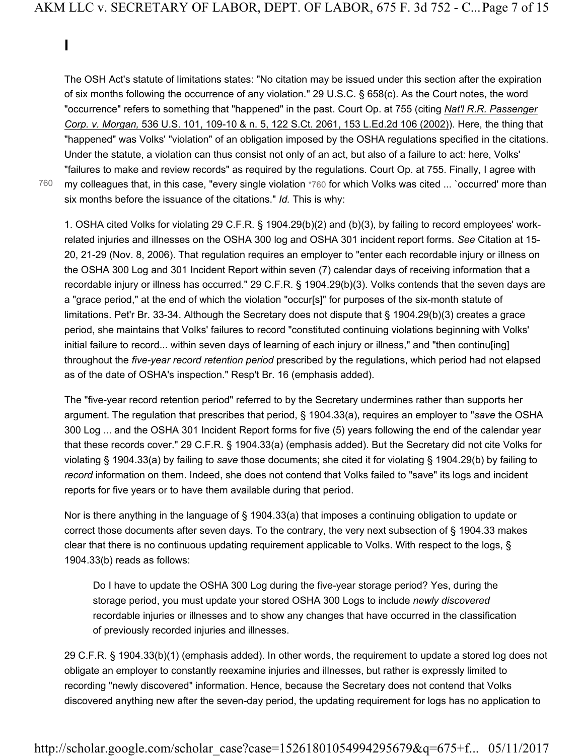**I**

The OSH Act's statute of limitations states: "No citation may be issued under this section after the expiration of six months following the occurrence of any violation." 29 U.S.C. § 658(c). As the Court notes, the word "occurrence" refers to something that "happened" in the past. Court Op. at 755 (citing *Nat'l R.R. Passenger Corp. v. Morgan,* 536 U.S. 101, 109-10 & n. 5, 122 S.Ct. 2061, 153 L.Ed.2d 106 (2002)). Here, the thing that "happened" was Volks' "violation" of an obligation imposed by the OSHA regulations specified in the citations. Under the statute, a violation can thus consist not only of an act, but also of a failure to act: here, Volks' "failures to make and review records" as required by the regulations. Court Op. at 755. Finally, I agree with my colleagues that, in this case, "every single violation \*760 for which Volks was cited ... `occurred' more than six months before the issuance of the citations." *Id.* This is why:

760

1. OSHA cited Volks for violating 29 C.F.R. § 1904.29(b)(2) and (b)(3), by failing to record employees' workrelated injuries and illnesses on the OSHA 300 log and OSHA 301 incident report forms. *See* Citation at 15- 20, 21-29 (Nov. 8, 2006). That regulation requires an employer to "enter each recordable injury or illness on the OSHA 300 Log and 301 Incident Report within seven (7) calendar days of receiving information that a recordable injury or illness has occurred." 29 C.F.R. § 1904.29(b)(3). Volks contends that the seven days are a "grace period," at the end of which the violation "occur[s]" for purposes of the six-month statute of limitations. Pet'r Br. 33-34. Although the Secretary does not dispute that § 1904.29(b)(3) creates a grace period, she maintains that Volks' failures to record "constituted continuing violations beginning with Volks' initial failure to record... within seven days of learning of each injury or illness," and "then continu[ing] throughout the *five-year record retention period* prescribed by the regulations, which period had not elapsed as of the date of OSHA's inspection." Resp't Br. 16 (emphasis added).

The "five-year record retention period" referred to by the Secretary undermines rather than supports her argument. The regulation that prescribes that period, § 1904.33(a), requires an employer to "*save* the OSHA 300 Log ... and the OSHA 301 Incident Report forms for five (5) years following the end of the calendar year that these records cover." 29 C.F.R. § 1904.33(a) (emphasis added). But the Secretary did not cite Volks for violating § 1904.33(a) by failing to *save* those documents; she cited it for violating § 1904.29(b) by failing to *record* information on them. Indeed, she does not contend that Volks failed to "save" its logs and incident reports for five years or to have them available during that period.

Nor is there anything in the language of § 1904.33(a) that imposes a continuing obligation to update or correct those documents after seven days. To the contrary, the very next subsection of § 1904.33 makes clear that there is no continuous updating requirement applicable to Volks. With respect to the logs, § 1904.33(b) reads as follows:

Do I have to update the OSHA 300 Log during the five-year storage period? Yes, during the storage period, you must update your stored OSHA 300 Logs to include *newly discovered* recordable injuries or illnesses and to show any changes that have occurred in the classification of previously recorded injuries and illnesses.

29 C.F.R. § 1904.33(b)(1) (emphasis added). In other words, the requirement to update a stored log does not obligate an employer to constantly reexamine injuries and illnesses, but rather is expressly limited to recording "newly discovered" information. Hence, because the Secretary does not contend that Volks discovered anything new after the seven-day period, the updating requirement for logs has no application to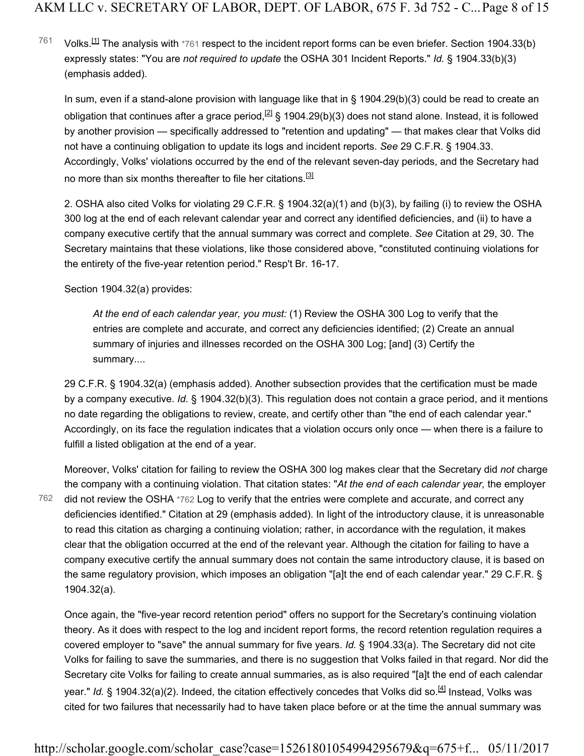Volks.<sup>[1]</sup> The analysis with \*761 respect to the incident report forms can be even briefer. Section 1904.33(b) expressly states: "You are *not required to update* the OSHA 301 Incident Reports." *Id.* § 1904.33(b)(3) (emphasis added). 761

In sum, even if a stand-alone provision with language like that in § 1904.29(b)(3) could be read to create an obligation that continues after a grace period,  $^{[2]}$  § 1904.29(b)(3) does not stand alone. Instead, it is followed by another provision — specifically addressed to "retention and updating" — that makes clear that Volks did not have a continuing obligation to update its logs and incident reports. *See* 29 C.F.R. § 1904.33. Accordingly, Volks' violations occurred by the end of the relevant seven-day periods, and the Secretary had no more than six months thereafter to file her citations.<sup>[3]</sup>

2. OSHA also cited Volks for violating 29 C.F.R. § 1904.32(a)(1) and (b)(3), by failing (i) to review the OSHA 300 log at the end of each relevant calendar year and correct any identified deficiencies, and (ii) to have a company executive certify that the annual summary was correct and complete. *See* Citation at 29, 30. The Secretary maintains that these violations, like those considered above, "constituted continuing violations for the entirety of the five-year retention period." Resp't Br. 16-17.

Section 1904.32(a) provides:

*At the end of each calendar year, you must:* (1) Review the OSHA 300 Log to verify that the entries are complete and accurate, and correct any deficiencies identified; (2) Create an annual summary of injuries and illnesses recorded on the OSHA 300 Log; [and] (3) Certify the summary....

29 C.F.R. § 1904.32(a) (emphasis added). Another subsection provides that the certification must be made by a company executive. *Id.* § 1904.32(b)(3). This regulation does not contain a grace period, and it mentions no date regarding the obligations to review, create, and certify other than "the end of each calendar year." Accordingly, on its face the regulation indicates that a violation occurs only once — when there is a failure to fulfill a listed obligation at the end of a year.

762

Moreover, Volks' citation for failing to review the OSHA 300 log makes clear that the Secretary did *not* charge the company with a continuing violation. That citation states: "*At the end of each calendar year,* the employer did not review the OSHA \*762 Log to verify that the entries were complete and accurate, and correct any deficiencies identified." Citation at 29 (emphasis added). In light of the introductory clause, it is unreasonable to read this citation as charging a continuing violation; rather, in accordance with the regulation, it makes clear that the obligation occurred at the end of the relevant year. Although the citation for failing to have a company executive certify the annual summary does not contain the same introductory clause, it is based on the same regulatory provision, which imposes an obligation "[a]t the end of each calendar year." 29 C.F.R. § 1904.32(a).

Once again, the "five-year record retention period" offers no support for the Secretary's continuing violation theory. As it does with respect to the log and incident report forms, the record retention regulation requires a covered employer to "save" the annual summary for five years. *Id.* § 1904.33(a). The Secretary did not cite Volks for failing to save the summaries, and there is no suggestion that Volks failed in that regard. Nor did the Secretary cite Volks for failing to create annual summaries, as is also required "[a]t the end of each calendar year." *Id.* § 1904.32(a)(2). Indeed, the citation effectively concedes that Volks did so.<sup>[4]</sup> Instead, Volks was cited for two failures that necessarily had to have taken place before or at the time the annual summary was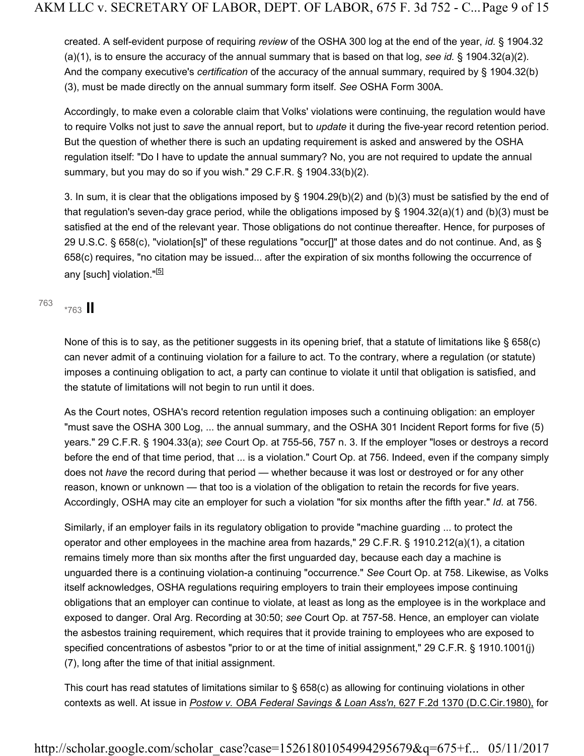created. A self-evident purpose of requiring *review* of the OSHA 300 log at the end of the year, *id.* § 1904.32 (a)(1), is to ensure the accuracy of the annual summary that is based on that log, *see id.* § 1904.32(a)(2). And the company executive's *certification* of the accuracy of the annual summary, required by § 1904.32(b) (3), must be made directly on the annual summary form itself. *See* OSHA Form 300A.

Accordingly, to make even a colorable claim that Volks' violations were continuing, the regulation would have to require Volks not just to *save* the annual report, but to *update* it during the five-year record retention period. But the question of whether there is such an updating requirement is asked and answered by the OSHA regulation itself: "Do I have to update the annual summary? No, you are not required to update the annual summary, but you may do so if you wish." 29 C.F.R. § 1904.33(b)(2).

3. In sum, it is clear that the obligations imposed by § 1904.29(b)(2) and (b)(3) must be satisfied by the end of that regulation's seven-day grace period, while the obligations imposed by § 1904.32(a)(1) and (b)(3) must be satisfied at the end of the relevant year. Those obligations do not continue thereafter. Hence, for purposes of 29 U.S.C. § 658(c), "violation[s]" of these regulations "occur[]" at those dates and do not continue. And, as § 658(c) requires, "no citation may be issued... after the expiration of six months following the occurrence of any [such] violation."<sup>[5]</sup>

\*763 **II** <sup>763</sup>

None of this is to say, as the petitioner suggests in its opening brief, that a statute of limitations like § 658(c) can never admit of a continuing violation for a failure to act. To the contrary, where a regulation (or statute) imposes a continuing obligation to act, a party can continue to violate it until that obligation is satisfied, and the statute of limitations will not begin to run until it does.

As the Court notes, OSHA's record retention regulation imposes such a continuing obligation: an employer "must save the OSHA 300 Log, ... the annual summary, and the OSHA 301 Incident Report forms for five (5) years." 29 C.F.R. § 1904.33(a); *see* Court Op. at 755-56, 757 n. 3. If the employer "loses or destroys a record before the end of that time period, that ... is a violation." Court Op. at 756. Indeed, even if the company simply does not *have* the record during that period — whether because it was lost or destroyed or for any other reason, known or unknown — that too is a violation of the obligation to retain the records for five years. Accordingly, OSHA may cite an employer for such a violation "for six months after the fifth year." *Id.* at 756.

Similarly, if an employer fails in its regulatory obligation to provide "machine guarding ... to protect the operator and other employees in the machine area from hazards," 29 C.F.R. § 1910.212(a)(1), a citation remains timely more than six months after the first unguarded day, because each day a machine is unguarded there is a continuing violation-a continuing "occurrence." *See* Court Op. at 758. Likewise, as Volks itself acknowledges, OSHA regulations requiring employers to train their employees impose continuing obligations that an employer can continue to violate, at least as long as the employee is in the workplace and exposed to danger. Oral Arg. Recording at 30:50; *see* Court Op. at 757-58. Hence, an employer can violate the asbestos training requirement, which requires that it provide training to employees who are exposed to specified concentrations of asbestos "prior to or at the time of initial assignment," 29 C.F.R. § 1910.1001(j) (7), long after the time of that initial assignment.

This court has read statutes of limitations similar to § 658(c) as allowing for continuing violations in other contexts as well. At issue in *Postow v. OBA Federal Savings & Loan Ass'n,* 627 F.2d 1370 (D.C.Cir.1980), for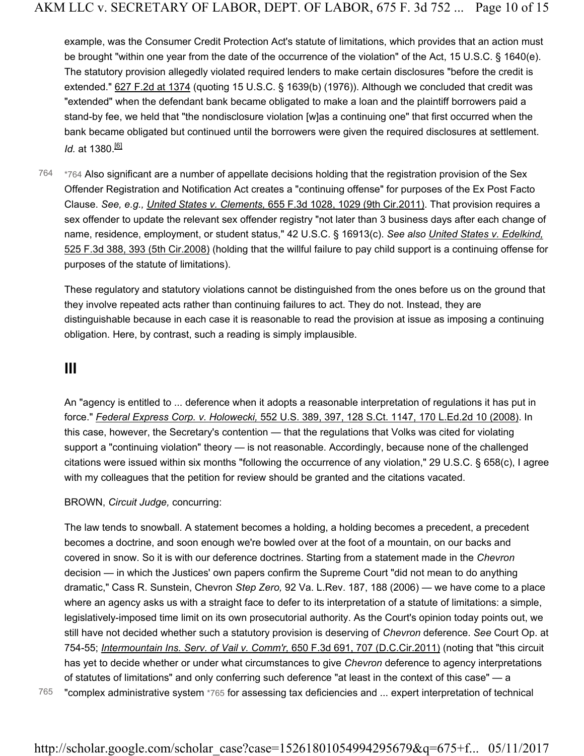example, was the Consumer Credit Protection Act's statute of limitations, which provides that an action must be brought "within one year from the date of the occurrence of the violation" of the Act, 15 U.S.C. § 1640(e). The statutory provision allegedly violated required lenders to make certain disclosures "before the credit is extended." 627 F.2d at 1374 (quoting 15 U.S.C. § 1639(b) (1976)). Although we concluded that credit was "extended" when the defendant bank became obligated to make a loan and the plaintiff borrowers paid a stand-by fee, we held that "the nondisclosure violation [w]as a continuing one" that first occurred when the bank became obligated but continued until the borrowers were given the required disclosures at settlement. *Id.* at 1380.<sup>[6]</sup>

\*764 Also significant are a number of appellate decisions holding that the registration provision of the Sex Offender Registration and Notification Act creates a "continuing offense" for purposes of the Ex Post Facto Clause. *See, e.g., United States v. Clements,* 655 F.3d 1028, 1029 (9th Cir.2011). That provision requires a sex offender to update the relevant sex offender registry "not later than 3 business days after each change of name, residence, employment, or student status," 42 U.S.C. § 16913(c). *See also United States v. Edelkind,* 525 F.3d 388, 393 (5th Cir.2008) (holding that the willful failure to pay child support is a continuing offense for purposes of the statute of limitations). 764

These regulatory and statutory violations cannot be distinguished from the ones before us on the ground that they involve repeated acts rather than continuing failures to act. They do not. Instead, they are distinguishable because in each case it is reasonable to read the provision at issue as imposing a continuing obligation. Here, by contrast, such a reading is simply implausible.

### **III**

An "agency is entitled to ... deference when it adopts a reasonable interpretation of regulations it has put in force." *Federal Express Corp. v. Holowecki,* 552 U.S. 389, 397, 128 S.Ct. 1147, 170 L.Ed.2d 10 (2008). In this case, however, the Secretary's contention — that the regulations that Volks was cited for violating support a "continuing violation" theory — is not reasonable. Accordingly, because none of the challenged citations were issued within six months "following the occurrence of any violation," 29 U.S.C. § 658(c), I agree with my colleagues that the petition for review should be granted and the citations vacated.

#### BROWN, *Circuit Judge,* concurring:

The law tends to snowball. A statement becomes a holding, a holding becomes a precedent, a precedent becomes a doctrine, and soon enough we're bowled over at the foot of a mountain, on our backs and covered in snow. So it is with our deference doctrines. Starting from a statement made in the *Chevron* decision — in which the Justices' own papers confirm the Supreme Court "did not mean to do anything dramatic," Cass R. Sunstein, Chevron *Step Zero,* 92 Va. L.Rev. 187, 188 (2006) — we have come to a place where an agency asks us with a straight face to defer to its interpretation of a statute of limitations: a simple, legislatively-imposed time limit on its own prosecutorial authority. As the Court's opinion today points out, we still have not decided whether such a statutory provision is deserving of *Chevron* deference. *See* Court Op. at 754-55; *Intermountain Ins. Serv. of Vail v. Comm'r,* 650 F.3d 691, 707 (D.C.Cir.2011) (noting that "this circuit has yet to decide whether or under what circumstances to give *Chevron* deference to agency interpretations of statutes of limitations" and only conferring such deference "at least in the context of this case" — a

765 "complex administrative system \*765 for assessing tax deficiencies and ... expert interpretation of technical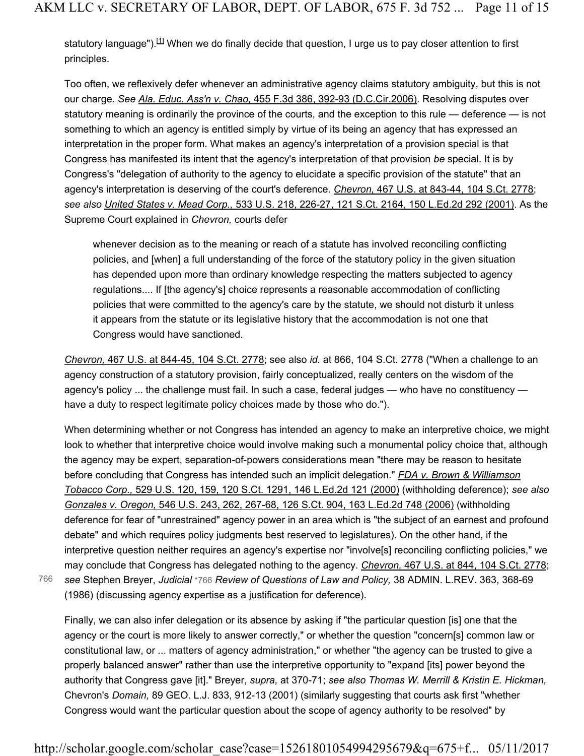statutory language").<sup>[1]</sup> When we do finally decide that question, I urge us to pay closer attention to first principles.

Too often, we reflexively defer whenever an administrative agency claims statutory ambiguity, but this is not our charge. *See Ala. Educ. Ass'n v. Chao,* 455 F.3d 386, 392-93 (D.C.Cir.2006). Resolving disputes over statutory meaning is ordinarily the province of the courts, and the exception to this rule — deference — is not something to which an agency is entitled simply by virtue of its being an agency that has expressed an interpretation in the proper form. What makes an agency's interpretation of a provision special is that Congress has manifested its intent that the agency's interpretation of that provision *be* special. It is by Congress's "delegation of authority to the agency to elucidate a specific provision of the statute" that an agency's interpretation is deserving of the court's deference. *Chevron,* 467 U.S. at 843-44, 104 S.Ct. 2778; *see also United States v. Mead Corp.,* 533 U.S. 218, 226-27, 121 S.Ct. 2164, 150 L.Ed.2d 292 (2001). As the Supreme Court explained in *Chevron,* courts defer

whenever decision as to the meaning or reach of a statute has involved reconciling conflicting policies, and [when] a full understanding of the force of the statutory policy in the given situation has depended upon more than ordinary knowledge respecting the matters subjected to agency regulations.... If [the agency's] choice represents a reasonable accommodation of conflicting policies that were committed to the agency's care by the statute, we should not disturb it unless it appears from the statute or its legislative history that the accommodation is not one that Congress would have sanctioned.

*Chevron,* 467 U.S. at 844-45, 104 S.Ct. 2778; see also *id.* at 866, 104 S.Ct. 2778 ("When a challenge to an agency construction of a statutory provision, fairly conceptualized, really centers on the wisdom of the agency's policy ... the challenge must fail. In such a case, federal judges — who have no constituency have a duty to respect legitimate policy choices made by those who do.").

When determining whether or not Congress has intended an agency to make an interpretive choice, we might look to whether that interpretive choice would involve making such a monumental policy choice that, although the agency may be expert, separation-of-powers considerations mean "there may be reason to hesitate before concluding that Congress has intended such an implicit delegation." *FDA v. Brown & Williamson Tobacco Corp.,* 529 U.S. 120, 159, 120 S.Ct. 1291, 146 L.Ed.2d 121 (2000) (withholding deference); *see also Gonzales v. Oregon,* 546 U.S. 243, 262, 267-68, 126 S.Ct. 904, 163 L.Ed.2d 748 (2006) (withholding deference for fear of "unrestrained" agency power in an area which is "the subject of an earnest and profound debate" and which requires policy judgments best reserved to legislatures). On the other hand, if the interpretive question neither requires an agency's expertise nor "involve[s] reconciling conflicting policies," we may conclude that Congress has delegated nothing to the agency. *Chevron,* 467 U.S. at 844, 104 S.Ct. 2778; *see* Stephen Breyer, *Judicial* \*766 *Review of Questions of Law and Policy,* 38 ADMIN. L.REV. 363, 368-69 (1986) (discussing agency expertise as a justification for deference).

766

Finally, we can also infer delegation or its absence by asking if "the particular question [is] one that the agency or the court is more likely to answer correctly," or whether the question "concern[s] common law or constitutional law, or ... matters of agency administration," or whether "the agency can be trusted to give a properly balanced answer" rather than use the interpretive opportunity to "expand [its] power beyond the authority that Congress gave [it]." Breyer, *supra,* at 370-71; *see also Thomas W. Merrill & Kristin E. Hickman,* Chevron's *Domain,* 89 GEO. L.J. 833, 912-13 (2001) (similarly suggesting that courts ask first "whether Congress would want the particular question about the scope of agency authority to be resolved" by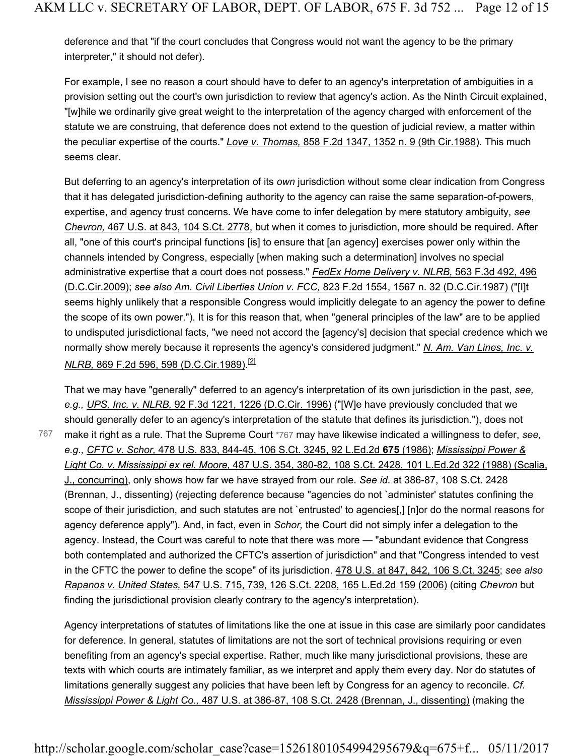deference and that "if the court concludes that Congress would not want the agency to be the primary interpreter," it should not defer).

For example, I see no reason a court should have to defer to an agency's interpretation of ambiguities in a provision setting out the court's own jurisdiction to review that agency's action. As the Ninth Circuit explained, "[w]hile we ordinarily give great weight to the interpretation of the agency charged with enforcement of the statute we are construing, that deference does not extend to the question of judicial review, a matter within the peculiar expertise of the courts." *Love v. Thomas,* 858 F.2d 1347, 1352 n. 9 (9th Cir.1988). This much seems clear.

But deferring to an agency's interpretation of its *own* jurisdiction without some clear indication from Congress that it has delegated jurisdiction-defining authority to the agency can raise the same separation-of-powers, expertise, and agency trust concerns. We have come to infer delegation by mere statutory ambiguity, *see Chevron,* 467 U.S. at 843, 104 S.Ct. 2778, but when it comes to jurisdiction, more should be required. After all, "one of this court's principal functions [is] to ensure that [an agency] exercises power only within the channels intended by Congress, especially [when making such a determination] involves no special administrative expertise that a court does not possess." *FedEx Home Delivery v. NLRB,* 563 F.3d 492, 496 (D.C.Cir.2009); *see also Am. Civil Liberties Union v. FCC,* 823 F.2d 1554, 1567 n. 32 (D.C.Cir.1987) ("[I]t seems highly unlikely that a responsible Congress would implicitly delegate to an agency the power to define the scope of its own power."). It is for this reason that, when "general principles of the law" are to be applied to undisputed jurisdictional facts, "we need not accord the [agency's] decision that special credence which we normally show merely because it represents the agency's considered judgment." *N. Am. Van Lines, Inc. v. NLRB,* 869 F.2d 596, 598 (D.C.Cir.1989).[2]

That we may have "generally" deferred to an agency's interpretation of its own jurisdiction in the past, *see, e.g., UPS, Inc. v. NLRB,* 92 F.3d 1221, 1226 (D.C.Cir. 1996) ("[W]e have previously concluded that we should generally defer to an agency's interpretation of the statute that defines its jurisdiction."), does not make it right as a rule. That the Supreme Court \*767 may have likewise indicated a willingness to defer, *see, e.g., CFTC v. Schor,* 478 U.S. 833, 844-45, 106 S.Ct. 3245, 92 L.Ed.2d **675** (1986); *Mississippi Power & Light Co. v. Mississippi ex rel. Moore,* 487 U.S. 354, 380-82, 108 S.Ct. 2428, 101 L.Ed.2d 322 (1988) (Scalia, J., concurring), only shows how far we have strayed from our role. *See id.* at 386-87, 108 S.Ct. 2428 (Brennan, J., dissenting) (rejecting deference because "agencies do not `administer' statutes confining the scope of their jurisdiction, and such statutes are not `entrusted' to agencies[,] [n]or do the normal reasons for agency deference apply"). And, in fact, even in *Schor,* the Court did not simply infer a delegation to the agency. Instead, the Court was careful to note that there was more — "abundant evidence that Congress both contemplated and authorized the CFTC's assertion of jurisdiction" and that "Congress intended to vest in the CFTC the power to define the scope" of its jurisdiction. 478 U.S. at 847, 842, 106 S.Ct. 3245; *see also Rapanos v. United States,* 547 U.S. 715, 739, 126 S.Ct. 2208, 165 L.Ed.2d 159 (2006) (citing *Chevron* but finding the jurisdictional provision clearly contrary to the agency's interpretation).

767

Agency interpretations of statutes of limitations like the one at issue in this case are similarly poor candidates for deference. In general, statutes of limitations are not the sort of technical provisions requiring or even benefiting from an agency's special expertise. Rather, much like many jurisdictional provisions, these are texts with which courts are intimately familiar, as we interpret and apply them every day. Nor do statutes of limitations generally suggest any policies that have been left by Congress for an agency to reconcile. *Cf. Mississippi Power & Light Co.,* 487 U.S. at 386-87, 108 S.Ct. 2428 (Brennan, J., dissenting) (making the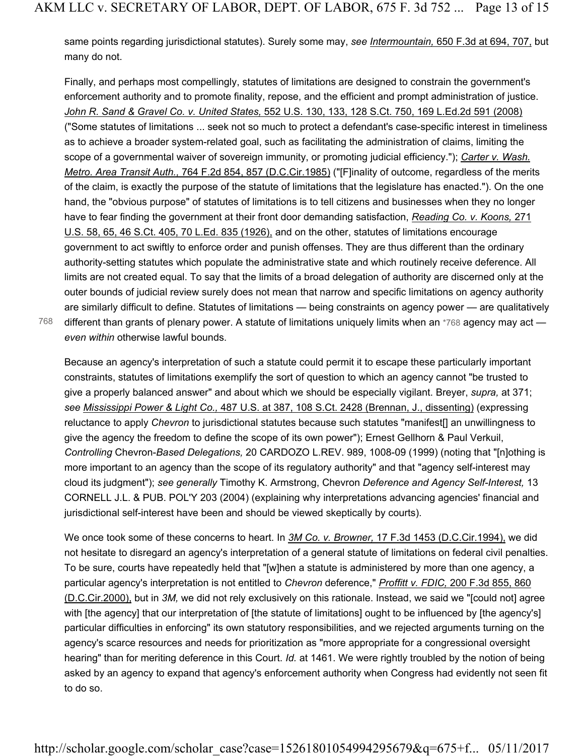same points regarding jurisdictional statutes). Surely some may, *see Intermountain,* 650 F.3d at 694, 707, but many do not.

Finally, and perhaps most compellingly, statutes of limitations are designed to constrain the government's enforcement authority and to promote finality, repose, and the efficient and prompt administration of justice. *John R. Sand & Gravel Co. v. United States,* 552 U.S. 130, 133, 128 S.Ct. 750, 169 L.Ed.2d 591 (2008) ("Some statutes of limitations ... seek not so much to protect a defendant's case-specific interest in timeliness as to achieve a broader system-related goal, such as facilitating the administration of claims, limiting the scope of a governmental waiver of sovereign immunity, or promoting judicial efficiency."); *Carter v. Wash. Metro. Area Transit Auth.,* 764 F.2d 854, 857 (D.C.Cir.1985) ("[F]inality of outcome, regardless of the merits of the claim, is exactly the purpose of the statute of limitations that the legislature has enacted."). On the one hand, the "obvious purpose" of statutes of limitations is to tell citizens and businesses when they no longer have to fear finding the government at their front door demanding satisfaction, *Reading Co. v. Koons,* 271 U.S. 58, 65, 46 S.Ct. 405, 70 L.Ed. 835 (1926), and on the other, statutes of limitations encourage government to act swiftly to enforce order and punish offenses. They are thus different than the ordinary authority-setting statutes which populate the administrative state and which routinely receive deference. All limits are not created equal. To say that the limits of a broad delegation of authority are discerned only at the outer bounds of judicial review surely does not mean that narrow and specific limitations on agency authority are similarly difficult to define. Statutes of limitations — being constraints on agency power — are qualitatively different than grants of plenary power. A statute of limitations uniquely limits when an \*768 agency may act *even within* otherwise lawful bounds.

768

Because an agency's interpretation of such a statute could permit it to escape these particularly important constraints, statutes of limitations exemplify the sort of question to which an agency cannot "be trusted to give a properly balanced answer" and about which we should be especially vigilant. Breyer, *supra,* at 371; *see Mississippi Power & Light Co.,* 487 U.S. at 387, 108 S.Ct. 2428 (Brennan, J., dissenting) (expressing reluctance to apply *Chevron* to jurisdictional statutes because such statutes "manifest[] an unwillingness to give the agency the freedom to define the scope of its own power"); Ernest Gellhorn & Paul Verkuil, *Controlling* Chevron-*Based Delegations,* 20 CARDOZO L.REV. 989, 1008-09 (1999) (noting that "[n]othing is more important to an agency than the scope of its regulatory authority" and that "agency self-interest may cloud its judgment"); *see generally* Timothy K. Armstrong, Chevron *Deference and Agency Self-Interest,* 13 CORNELL J.L. & PUB. POL'Y 203 (2004) (explaining why interpretations advancing agencies' financial and jurisdictional self-interest have been and should be viewed skeptically by courts).

We once took some of these concerns to heart. In *3M Co. v. Browner,* 17 F.3d 1453 (D.C.Cir.1994), we did not hesitate to disregard an agency's interpretation of a general statute of limitations on federal civil penalties. To be sure, courts have repeatedly held that "[w]hen a statute is administered by more than one agency, a particular agency's interpretation is not entitled to *Chevron* deference," *Proffitt v. FDIC,* 200 F.3d 855, 860 (D.C.Cir.2000), but in *3M,* we did not rely exclusively on this rationale. Instead, we said we "[could not] agree with [the agency] that our interpretation of [the statute of limitations] ought to be influenced by [the agency's] particular difficulties in enforcing" its own statutory responsibilities, and we rejected arguments turning on the agency's scarce resources and needs for prioritization as "more appropriate for a congressional oversight hearing" than for meriting deference in this Court. *Id.* at 1461. We were rightly troubled by the notion of being asked by an agency to expand that agency's enforcement authority when Congress had evidently not seen fit to do so.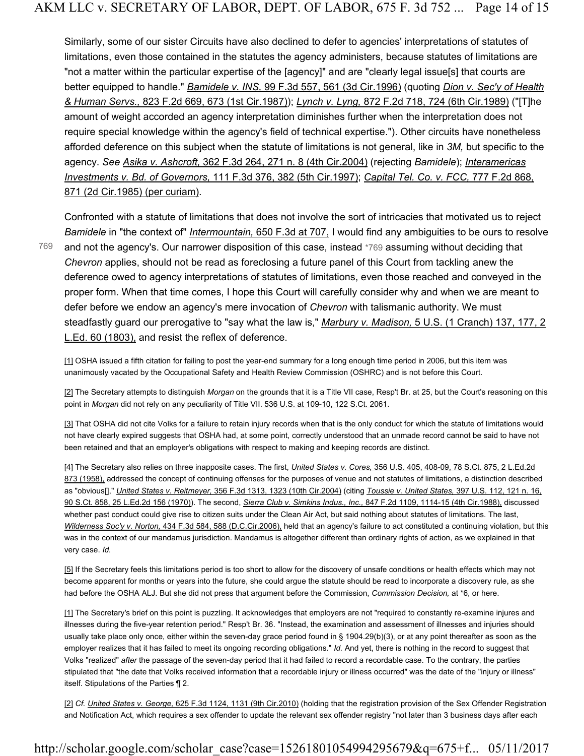Similarly, some of our sister Circuits have also declined to defer to agencies' interpretations of statutes of limitations, even those contained in the statutes the agency administers, because statutes of limitations are "not a matter within the particular expertise of the [agency]" and are "clearly legal issue[s] that courts are better equipped to handle." *Bamidele v. INS,* 99 F.3d 557, 561 (3d Cir.1996) (quoting *Dion v. Sec'y of Health & Human Servs.,* 823 F.2d 669, 673 (1st Cir.1987)); *Lynch v. Lyng,* 872 F.2d 718, 724 (6th Cir.1989) ("[T]he amount of weight accorded an agency interpretation diminishes further when the interpretation does not require special knowledge within the agency's field of technical expertise."). Other circuits have nonetheless afforded deference on this subject when the statute of limitations is not general, like in *3M,* but specific to the agency. *See Asika v. Ashcroft,* 362 F.3d 264, 271 n. 8 (4th Cir.2004) (rejecting *Bamidele*); *Interamericas Investments v. Bd. of Governors,* 111 F.3d 376, 382 (5th Cir.1997); *Capital Tel. Co. v. FCC,* 777 F.2d 868, 871 (2d Cir.1985) (per curiam).

769

Confronted with a statute of limitations that does not involve the sort of intricacies that motivated us to reject *Bamidele* in "the context of" *Intermountain,* 650 F.3d at 707, I would find any ambiguities to be ours to resolve and not the agency's. Our narrower disposition of this case, instead \*769 assuming without deciding that *Chevron* applies, should not be read as foreclosing a future panel of this Court from tackling anew the deference owed to agency interpretations of statutes of limitations, even those reached and conveyed in the proper form. When that time comes, I hope this Court will carefully consider why and when we are meant to defer before we endow an agency's mere invocation of *Chevron* with talismanic authority. We must steadfastly guard our prerogative to "say what the law is," *Marbury v. Madison,* 5 U.S. (1 Cranch) 137, 177, 2 L.Ed. 60 (1803), and resist the reflex of deference.

[1] OSHA issued a fifth citation for failing to post the year-end summary for a long enough time period in 2006, but this item was unanimously vacated by the Occupational Safety and Health Review Commission (OSHRC) and is not before this Court.

[2] The Secretary attempts to distinguish *Morgan* on the grounds that it is a Title VII case, Resp't Br. at 25, but the Court's reasoning on this point in *Morgan* did not rely on any peculiarity of Title VII. 536 U.S. at 109-10, 122 S.Ct. 2061.

[3] That OSHA did not cite Volks for a failure to retain injury records when that is the only conduct for which the statute of limitations would not have clearly expired suggests that OSHA had, at some point, correctly understood that an unmade record cannot be said to have not been retained and that an employer's obligations with respect to making and keeping records are distinct.

[4] The Secretary also relies on three inapposite cases. The first, *United States v. Cores,* 356 U.S. 405, 408-09, 78 S.Ct. 875, 2 L.Ed.2d 873 (1958), addressed the concept of continuing offenses for the purposes of venue and not statutes of limitations, a distinction described as "obvious[]," *United States v. Reitmeyer,* 356 F.3d 1313, 1323 (10th Cir.2004) (citing *Toussie v. United States,* 397 U.S. 112, 121 n. 16, 90 S.Ct. 858, 25 L.Ed.2d 156 (1970)). The second, *Sierra Club v. Simkins Indus., Inc.,* 847 F.2d 1109, 1114-15 (4th Cir.1988), discussed whether past conduct could give rise to citizen suits under the Clean Air Act, but said nothing about statutes of limitations. The last, *Wilderness Soc'y v. Norton,* 434 F.3d 584, 588 (D.C.Cir.2006), held that an agency's failure to act constituted a continuing violation, but this was in the context of our mandamus jurisdiction. Mandamus is altogether different than ordinary rights of action, as we explained in that very case. *Id.*

[5] If the Secretary feels this limitations period is too short to allow for the discovery of unsafe conditions or health effects which may not become apparent for months or years into the future, she could argue the statute should be read to incorporate a discovery rule, as she had before the OSHA ALJ. But she did not press that argument before the Commission, *Commission Decision,* at \*6, or here.

[1] The Secretary's brief on this point is puzzling. It acknowledges that employers are not "required to constantly re-examine injures and illnesses during the five-year retention period." Resp't Br. 36. "Instead, the examination and assessment of illnesses and injuries should usually take place only once, either within the seven-day grace period found in § 1904.29(b)(3), or at any point thereafter as soon as the employer realizes that it has failed to meet its ongoing recording obligations." *Id.* And yet, there is nothing in the record to suggest that Volks "realized" *after* the passage of the seven-day period that it had failed to record a recordable case. To the contrary, the parties stipulated that "the date that Volks received information that a recordable injury or illness occurred" was the date of the "injury or illness" itself. Stipulations of the Parties ¶ 2.

[2] *Cf. United States v. George,* 625 F.3d 1124, 1131 (9th Cir.2010) (holding that the registration provision of the Sex Offender Registration and Notification Act, which requires a sex offender to update the relevant sex offender registry "not later than 3 business days after each

## http://scholar.google.com/scholar\_case?case=15261801054994295679&q=675+f... 05/11/2017